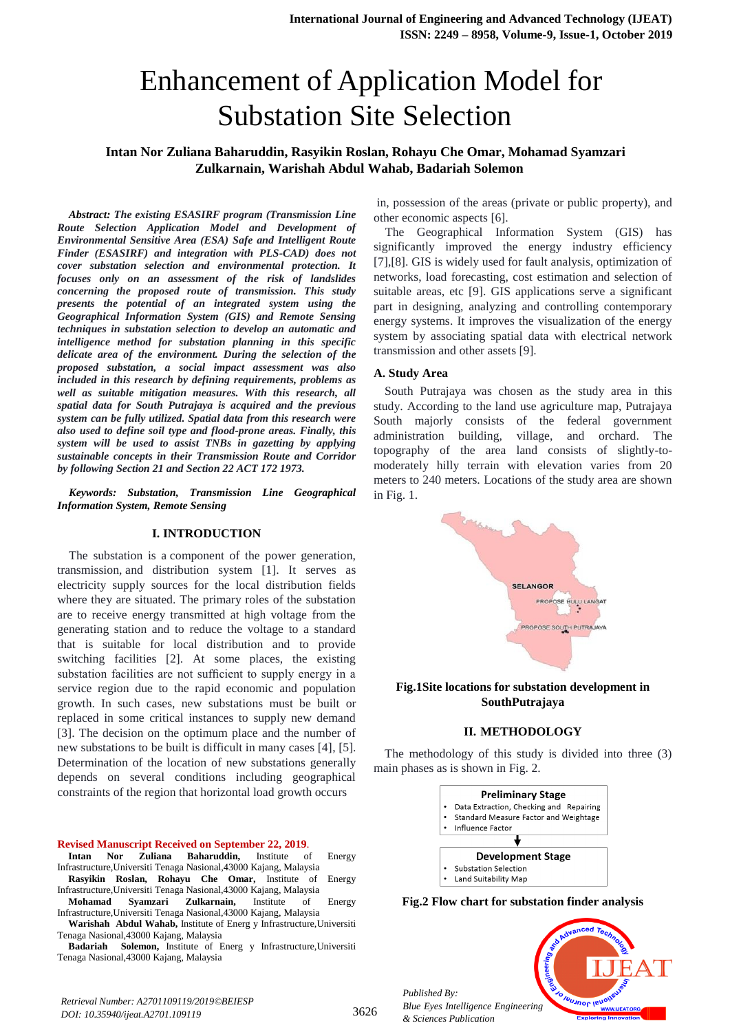# Enhancement of Application Model for Substation Site Selection

# **Intan Nor Zuliana Baharuddin, Rasyikin Roslan, Rohayu Che Omar, Mohamad Syamzari Zulkarnain, Warishah Abdul Wahab, Badariah Solemon**

*Abstract: The existing ESASIRF program (Transmission Line Route Selection Application Model and Development of Environmental Sensitive Area (ESA) Safe and Intelligent Route Finder (ESASIRF) and integration with PLS-CAD) does not cover substation selection and environmental protection. It focuses only on an assessment of the risk of landslides concerning the proposed route of transmission. This study presents the potential of an integrated system using the Geographical Information System (GIS) and Remote Sensing techniques in substation selection to develop an automatic and intelligence method for substation planning in this specific delicate area of the environment. During the selection of the proposed substation, a social impact assessment was also included in this research by defining requirements, problems as well as suitable mitigation measures. With this research, all spatial data for South Putrajaya is acquired and the previous system can be fully utilized. Spatial data from this research were also used to define soil type and flood-prone areas. Finally, this system will be used to assist TNBs in gazetting by applying sustainable concepts in their Transmission Route and Corridor by following Section 21 and Section 22 ACT 172 1973.*

*Keywords: Substation, Transmission Line Geographical Information System, Remote Sensing*

#### **I. INTRODUCTION**

The substation is a component of the power generation, transmission, and distribution system [1]. It serves as electricity supply sources for the local distribution fields where they are situated. The primary roles of the substation are to receive energy transmitted at high voltage from the generating station and to reduce the voltage to a standard that is suitable for local distribution and to provide switching facilities [2]. At some places, the existing substation facilities are not sufficient to supply energy in a service region due to the rapid economic and population growth. In such cases, new substations must be built or replaced in some critical instances to supply new demand [3]. The decision on the optimum place and the number of new substations to be built is difficult in many cases [4], [5]. Determination of the location of new substations generally depends on several conditions including geographical constraints of the region that horizontal load growth occurs

# **Revised Manuscript Received on September 22, 2019**.

- **Intan Nor Zuliana Baharuddin,** Institute of Energy Infrastructure,Universiti Tenaga Nasional,43000 Kajang, Malaysia
- **Rasyikin Roslan, Rohayu Che Omar,** Institute of Energy Infrastructure,Universiti Tenaga Nasional,43000 Kajang, Malaysia
- **Mohamad Syamzari Zulkarnain,** Institute of Energy Infrastructure,Universiti Tenaga Nasional,43000 Kajang, Malaysia
- **Warishah Abdul Wahab,** Institute of Energ y Infrastructure,Universiti Tenaga Nasional,43000 Kajang, Malaysia

**Badariah Solemon,** Institute of Energ y Infrastructure,Universiti Tenaga Nasional,43000 Kajang, Malaysia

in, possession of the areas (private or public property), and other economic aspects [6].

The Geographical Information System (GIS) has significantly improved the energy industry efficiency [7],[8]. GIS is widely used for fault analysis, optimization of networks, load forecasting, cost estimation and selection of suitable areas, etc [9]. GIS applications serve a significant part in designing, analyzing and controlling contemporary energy systems. It improves the visualization of the energy system by associating spatial data with electrical network transmission and other assets [9].

#### **A. Study Area**

South Putrajaya was chosen as the study area in this study. According to the land use agriculture map, Putrajaya South majorly consists of the federal government administration building, village, and orchard. The topography of the area land consists of slightly-tomoderately hilly terrain with elevation varies from 20 meters to 240 meters. Locations of the study area are shown in Fig. 1.



**Fig.1Site locations for substation development in SouthPutrajaya**

#### **II. METHODOLOGY**

The methodology of this study is divided into three (3) main phases as is shown in Fig. 2.



**Fig.2 Flow chart for substation finder analysis**

leusnor ler

*Published By: Blue Eyes Intelligence Engineering & Sciences Publication*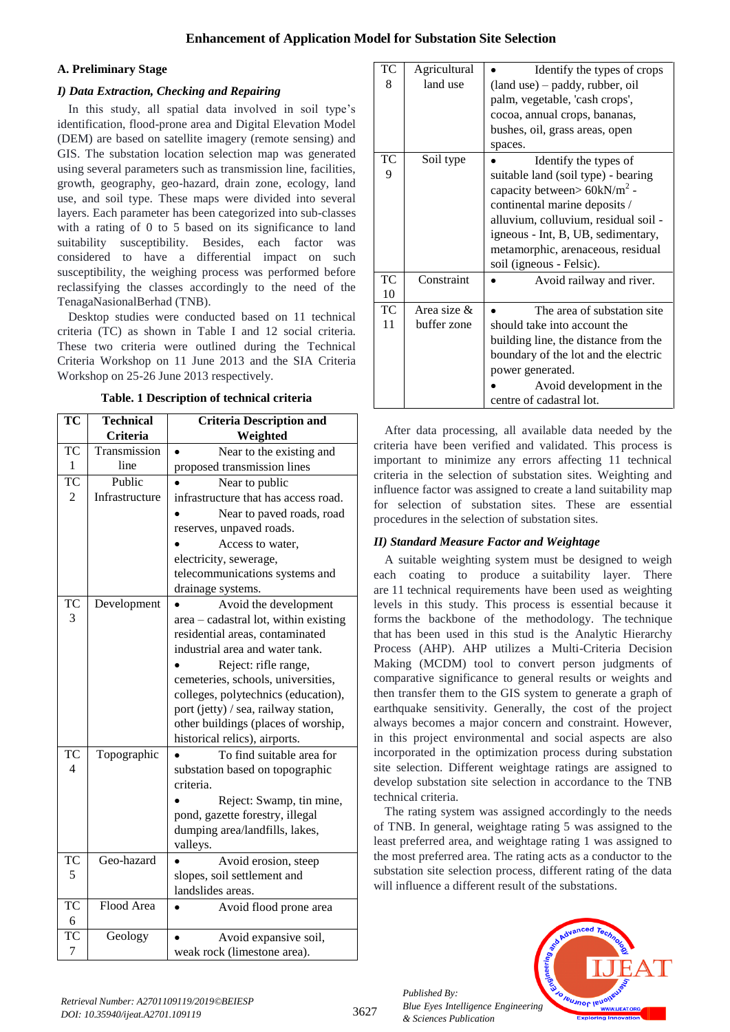# **Enhancement of Application Model for Substation Site Selection**

#### **A. Preliminary Stage**

# *I) Data Extraction, Checking and Repairing*

In this study, all spatial data involved in soil type's identification, flood-prone area and Digital Elevation Model (DEM) are based on satellite imagery (remote sensing) and GIS. The substation location selection map was generated using several parameters such as transmission line, facilities, growth, geography, geo-hazard, drain zone, ecology, land use, and soil type. These maps were divided into several layers. Each parameter has been categorized into sub-classes with a rating of 0 to 5 based on its significance to land suitability susceptibility. Besides, each factor was considered to have a differential impact on such susceptibility, the weighing process was performed before reclassifying the classes accordingly to the need of the TenagaNasionalBerhad (TNB).

Desktop studies were conducted based on 11 technical criteria (TC) as shown in Table I and 12 social criteria. These two criteria were outlined during the Technical Criteria Workshop on 11 June 2013 and the SIA Criteria Workshop on 25-26 June 2013 respectively.

**Table. 1 Description of technical criteria**

| TC             | <b>Technical</b> | <b>Criteria Description and</b>       |  |  |
|----------------|------------------|---------------------------------------|--|--|
|                | Criteria         | Weighted                              |  |  |
| TC             | Transmission     | Near to the existing and              |  |  |
| $\mathbf{1}$   | line             | proposed transmission lines           |  |  |
| <b>TC</b>      | Public           | Near to public                        |  |  |
| 2              | Infrastructure   | infrastructure that has access road.  |  |  |
|                |                  | Near to paved roads, road             |  |  |
|                |                  | reserves, unpaved roads.              |  |  |
|                |                  | Access to water,                      |  |  |
|                |                  | electricity, sewerage,                |  |  |
|                |                  | telecommunications systems and        |  |  |
|                |                  | drainage systems.                     |  |  |
| <b>TC</b>      | Development      | Avoid the development                 |  |  |
| 3              |                  | area - cadastral lot, within existing |  |  |
|                |                  | residential areas, contaminated       |  |  |
|                |                  | industrial area and water tank.       |  |  |
|                |                  | Reject: rifle range,                  |  |  |
|                |                  | cemeteries, schools, universities,    |  |  |
|                |                  | colleges, polytechnics (education),   |  |  |
|                |                  | port (jetty) / sea, railway station,  |  |  |
|                |                  | other buildings (places of worship,   |  |  |
|                |                  | historical relics), airports.         |  |  |
| <b>TC</b>      | Topographic      | To find suitable area for             |  |  |
| $\overline{4}$ |                  | substation based on topographic       |  |  |
|                |                  | criteria.                             |  |  |
|                |                  | Reject: Swamp, tin mine,              |  |  |
|                |                  | pond, gazette forestry, illegal       |  |  |
|                |                  | dumping area/landfills, lakes,        |  |  |
|                |                  | valleys.                              |  |  |
| <b>TC</b>      | Geo-hazard       | Avoid erosion, steep                  |  |  |
| 5              |                  | slopes, soil settlement and           |  |  |
|                |                  | landslides areas.                     |  |  |
| <b>TC</b>      | Flood Area       | Avoid flood prone area                |  |  |
| 6              |                  |                                       |  |  |
| TC             | Geology          | Avoid expansive soil,                 |  |  |
| 7              |                  | weak rock (limestone area).           |  |  |

| TC<br>8         | Agricultural<br>land use      | Identify the types of crops<br>(land use) – paddy, rubber, oil<br>palm, vegetable, 'cash crops',<br>cocoa, annual crops, bananas,<br>bushes, oil, grass areas, open<br>spaces.                                                                                                          |
|-----------------|-------------------------------|-----------------------------------------------------------------------------------------------------------------------------------------------------------------------------------------------------------------------------------------------------------------------------------------|
| ТC<br>9         | Soil type                     | Identify the types of<br>suitable land (soil type) - bearing<br>capacity between > $60 \text{kN/m}^2$ -<br>continental marine deposits /<br>alluvium, colluvium, residual soil -<br>igneous - Int, B, UB, sedimentary,<br>metamorphic, arenaceous, residual<br>soil (igneous - Felsic). |
| <b>TC</b><br>10 | Constraint                    | Avoid railway and river.                                                                                                                                                                                                                                                                |
| TC<br>11        | Area size $\&$<br>buffer zone | The area of substation site.<br>should take into account the<br>building line, the distance from the<br>boundary of the lot and the electric<br>power generated.<br>Avoid development in the<br>centre of cadastral lot.                                                                |

After data processing, all available data needed by the criteria have been verified and validated. This process is important to minimize any errors affecting 11 technical criteria in the selection of substation sites. Weighting and influence factor was assigned to create a land suitability map for selection of substation sites. These are essential procedures in the selection of substation sites.

#### *II) Standard Measure Factor and Weightage*

A suitable weighting system must be designed to weigh each coating to produce a suitability layer. There are 11 technical requirements have been used as weighting levels in this study. This process is essential because it forms the backbone of the methodology. The technique that has been used in this stud is the Analytic Hierarchy Process (AHP). AHP utilizes a Multi-Criteria Decision Making (MCDM) tool to convert person judgments of comparative significance to general results or weights and then transfer them to the GIS system to generate a graph of earthquake sensitivity. Generally, the cost of the project always becomes a major concern and constraint. However, in this project environmental and social aspects are also incorporated in the optimization process during substation site selection. Different weightage ratings are assigned to develop substation site selection in accordance to the TNB technical criteria.

The rating system was assigned accordingly to the needs of TNB. In general, weightage rating 5 was assigned to the least preferred area, and weightage rating 1 was assigned to the most preferred area. The rating acts as a conductor to the substation site selection process, different rating of the data will influence a different result of the substations.



*Published By:*

*& Sciences Publication*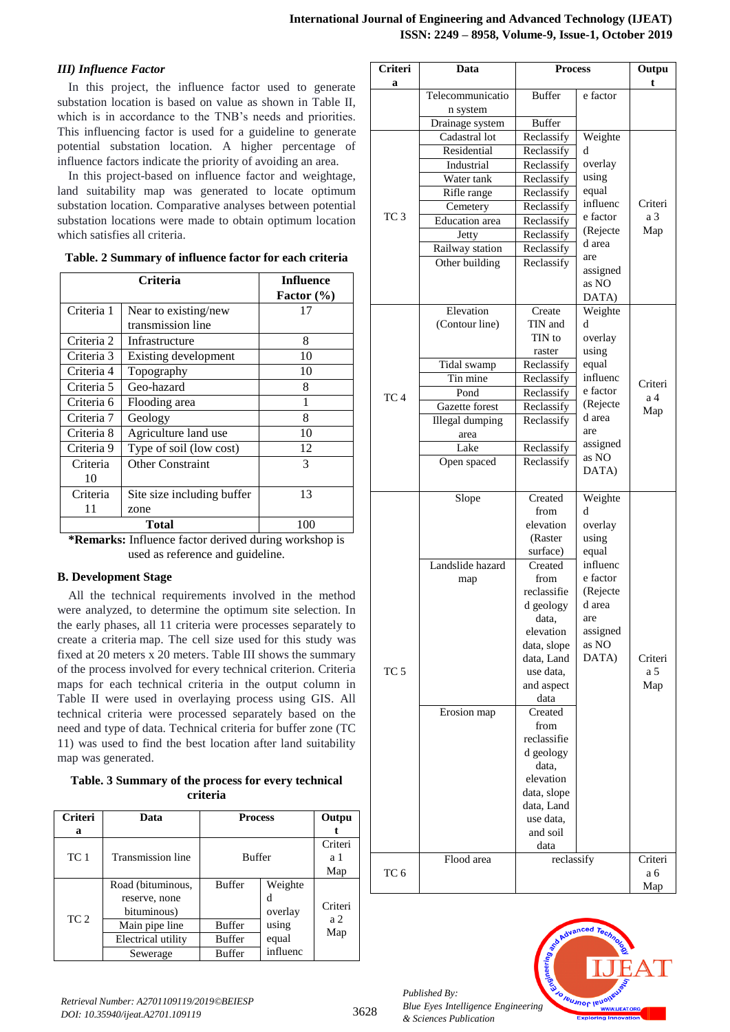# *III) Influence Factor*

In this project, the influence factor used to generate substation location is based on value as shown in Table II, which is in accordance to the TNB's needs and priorities. This influencing factor is used for a guideline to generate potential substation location. A higher percentage of influence factors indicate the priority of avoiding an area.

In this project-based on influence factor and weightage, land suitability map was generated to locate optimum substation location. Comparative analyses between potential substation locations were made to obtain optimum location which satisfies all criteria.

**Table. 2 Summary of influence factor for each criteria**

|            | <b>Criteria</b>            | <b>Influence</b><br>Factor $(\% )$ |
|------------|----------------------------|------------------------------------|
| Criteria 1 | Near to existing/new       | 17                                 |
|            | transmission line          |                                    |
| Criteria 2 | Infrastructure             | 8                                  |
| Criteria 3 | Existing development       | 10                                 |
| Criteria 4 | Topography                 | 10                                 |
| Criteria 5 | Geo-hazard                 | 8                                  |
| Criteria 6 | Flooding area              |                                    |
| Criteria 7 | Geology                    | 8                                  |
| Criteria 8 | Agriculture land use       | 10                                 |
| Criteria 9 | Type of soil (low cost)    | 12                                 |
| Criteria   | <b>Other Constraint</b>    | 3                                  |
| 10         |                            |                                    |
| Criteria   | Site size including buffer | 13                                 |
| 11         | zone                       |                                    |
|            | Total                      | 100                                |

**\*Remarks:** Influence factor derived during workshop is used as reference and guideline.

#### **B. Development Stage**

All the technical requirements involved in the method were analyzed, to determine the optimum site selection. In the early phases, all 11 criteria were processes separately to create a criteria map. The cell size used for this study was fixed at 20 meters x 20 meters. Table III shows the summary of the process involved for every technical criterion. Criteria maps for each technical criteria in the output column in Table II were used in overlaying process using GIS. All technical criteria were processed separately based on the need and type of data. Technical criteria for buffer zone (TC 11) was used to find the best location after land suitability map was generated.

**Table. 3 Summary of the process for every technical criteria**

| <b>Criteri</b><br>a | Data                                              | <b>Process</b> |                         | Outpu                 |  |
|---------------------|---------------------------------------------------|----------------|-------------------------|-----------------------|--|
| TC 1                | <b>Transmission line</b>                          | <b>Buffer</b>  |                         | Criteri<br>a 1<br>Map |  |
|                     | Road (bituminous,<br>reserve, none<br>bituminous) | <b>Buffer</b>  | Weighte<br>d<br>overlay | Criteri               |  |
| TC <sub>2</sub>     | Main pipe line                                    | <b>Buffer</b>  | using                   | a <sub>2</sub>        |  |
|                     | Electrical utility                                | <b>Buffer</b>  | equal                   | Map                   |  |
|                     | Sewerage                                          | <b>Buffer</b>  | influenc                |                       |  |

| Criteri         | Data                           | <b>Process</b>            |                   | Outpu   |
|-----------------|--------------------------------|---------------------------|-------------------|---------|
| a               | Telecommunicatio               | <b>Buffer</b>             | e factor          | t       |
|                 | n system                       |                           |                   |         |
|                 | Drainage system                | <b>Buffer</b>             |                   |         |
|                 | Cadastral lot                  | Reclassify                | Weighte           |         |
|                 | Residential                    | Reclassify                | d                 |         |
|                 | Industrial                     | Reclassify                | overlay           |         |
|                 | Water tank                     | Reclassify                | using             |         |
|                 | Rifle range                    | Reclassify                | equal<br>influenc | Criteri |
| TC <sub>3</sub> | Cemetery                       | Reclassify                | e factor          | a 3     |
|                 | <b>Education</b> area<br>Jetty | Reclassify<br>Reclassify  | (Rejecte          | Map     |
|                 | Railway station                | Reclassify                | d area            |         |
|                 | Other building                 | Reclassify                | are               |         |
|                 |                                |                           | assigned          |         |
|                 |                                |                           | as NO             |         |
|                 | Elevation                      | Create                    | DATA)<br>Weighte  |         |
|                 | (Contour line)                 | TIN and                   | d                 |         |
|                 |                                | TIN to                    | overlay           |         |
|                 |                                | raster                    | using             |         |
|                 | Tidal swamp                    | Reclassify                | equal             |         |
|                 | Tin mine                       | Reclassify                | influenc          | Criteri |
| TC <sub>4</sub> | Pond                           | Reclassify                | e factor          | a 4     |
|                 | Gazette forest                 | Reclassify                | (Rejecte          | Map     |
|                 | Illegal dumping                | Reclassify                | d area            |         |
|                 | area                           |                           | are<br>assigned   |         |
|                 | Lake                           | Reclassify                | as NO             |         |
|                 | Open spaced                    | Reclassify                | DATA)             |         |
|                 |                                |                           |                   |         |
|                 | Slope                          | Created                   | Weighte           |         |
|                 |                                | from                      | d                 |         |
|                 |                                | elevation<br>(Raster      | overlay<br>using  |         |
|                 |                                | surface)                  | equal             |         |
|                 | Landslide hazard               | Created                   | influenc          |         |
|                 | map                            | from                      | e factor          |         |
|                 |                                | reclassifie               | (Rejecte          |         |
|                 |                                | d geology                 | d area            |         |
|                 |                                | data,                     | are               |         |
|                 |                                | elevation                 | assigned          |         |
|                 |                                | data, slope<br>data, Land | as NO<br>DATA)    | Criteri |
| TC <sub>5</sub> |                                | use data.                 |                   | a 5     |
|                 |                                | and aspect                |                   | Map     |
|                 |                                | data                      |                   |         |
|                 | Erosion map                    | Created                   |                   |         |
|                 |                                | from                      |                   |         |
|                 |                                | reclassifie               |                   |         |
|                 |                                | d geology                 |                   |         |
|                 |                                | data,<br>elevation        |                   |         |
|                 |                                | data, slope               |                   |         |
|                 |                                | data, Land                |                   |         |
|                 |                                | use data,                 |                   |         |
|                 |                                | and soil                  |                   |         |
|                 |                                | data                      |                   |         |
|                 | Flood area                     | reclassify                |                   | Criteri |
| TC 6            |                                |                           |                   | a 6     |
|                 |                                |                           |                   | Map     |



*Published By:*

*& Sciences Publication*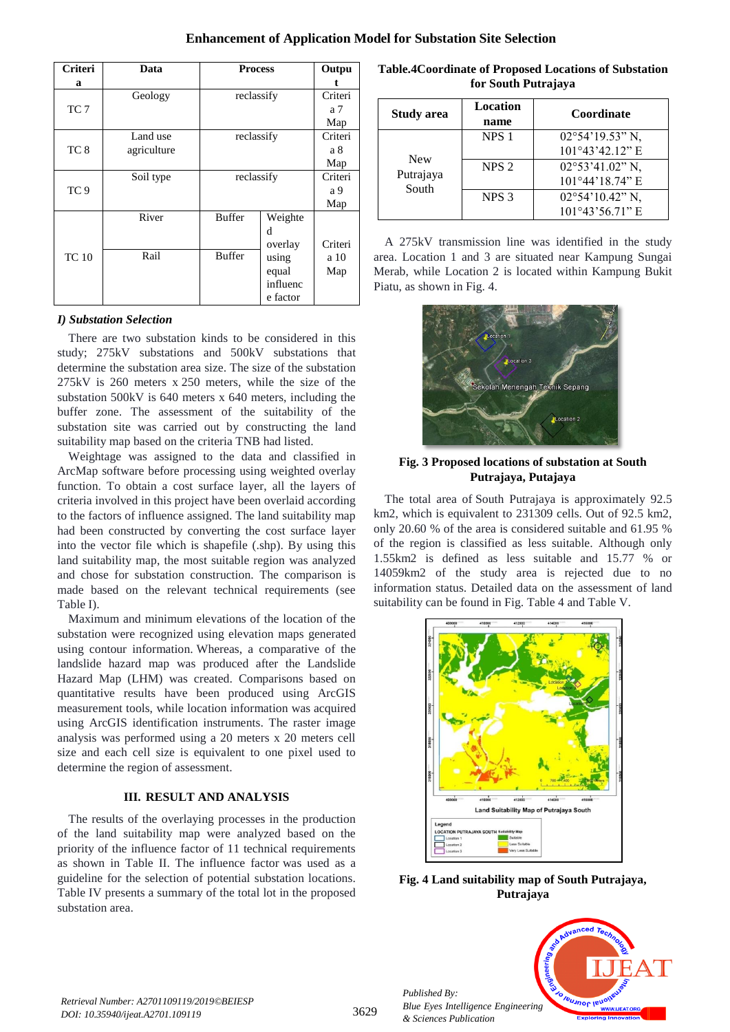| Criteri         | Data        | <b>Process</b> |          | Outpu          |
|-----------------|-------------|----------------|----------|----------------|
| a               |             |                |          |                |
|                 | Geology     | reclassify     |          | Criteri        |
| TC <sub>7</sub> |             |                |          | a <sub>7</sub> |
|                 |             |                |          | Map            |
|                 | Land use    | reclassify     |          | Criteri        |
| TC <sub>8</sub> | agriculture |                |          | a 8            |
|                 |             |                |          | Map            |
|                 | Soil type   | reclassify     |          | Criteri        |
| TC <sub>9</sub> |             |                |          | a 9            |
|                 |             |                |          | Map            |
|                 | River       | <b>Buffer</b>  | Weighte  |                |
|                 |             |                | d        |                |
|                 |             |                | overlay  | Criteri        |
| <b>TC</b> 10    | Rail        | <b>Buffer</b>  | using    | a 10           |
|                 |             |                | equal    | Map            |
|                 |             |                | influenc |                |
|                 |             |                | e factor |                |

#### *I) Substation Selection*

There are two substation kinds to be considered in this study; 275kV substations and 500kV substations that determine the substation area size. The size of the substation 275kV is 260 meters x 250 meters, while the size of the substation 500kV is 640 meters x 640 meters, including the buffer zone. The assessment of the suitability of the substation site was carried out by constructing the land suitability map based on the criteria TNB had listed.

Weightage was assigned to the data and classified in ArcMap software before processing using weighted overlay function. To obtain a cost surface layer, all the layers of criteria involved in this project have been overlaid according to the factors of influence assigned. The land suitability map had been constructed by converting the cost surface layer into the vector file which is shapefile (.shp). By using this land suitability map, the most suitable region was analyzed and chose for substation construction. The comparison is made based on the relevant technical requirements (see Table I).

Maximum and minimum elevations of the location of the substation were recognized using elevation maps generated using contour information. Whereas, a comparative of the landslide hazard map was produced after the Landslide Hazard Map (LHM) was created. Comparisons based on quantitative results have been produced using ArcGIS measurement tools, while location information was acquired using ArcGIS identification instruments. The raster image analysis was performed using a 20 meters x 20 meters cell size and each cell size is equivalent to one pixel used to determine the region of assessment.

#### **III. RESULT AND ANALYSIS**

The results of the overlaying processes in the production of the land suitability map were analyzed based on the priority of the influence factor of 11 technical requirements as shown in Table II. The influence factor was used as a guideline for the selection of potential substation locations. Table IV presents a summary of the total lot in the proposed substation area.

**Table.4Coordinate of Proposed Locations of Substation for South Putrajaya**

| <b>Study area</b> | Location<br>name | Coordinate                |  |
|-------------------|------------------|---------------------------|--|
|                   | NPS <sub>1</sub> | $02^{\circ}54'19.53''$ N, |  |
| <b>New</b>        |                  | $101^{\circ}43'42.12"$ E  |  |
| Putrajaya         | NPS <sub>2</sub> | $02^{\circ}53'41.02"$ N,  |  |
| South             |                  | 101°44'18.74" E           |  |
|                   | NPS <sub>3</sub> | $02^{\circ}54'10.42"$ N,  |  |
|                   |                  | $101^{\circ}43'56.71"$ E  |  |

A 275kV transmission line was identified in the study area. Location 1 and 3 are situated near Kampung Sungai Merab, while Location 2 is located within Kampung Bukit Piatu, as shown in Fig. 4.



**Fig. 3 Proposed locations of substation at South Putrajaya, Putajaya**

The total area of South Putrajaya is approximately 92.5 km2, which is equivalent to 231309 cells. Out of 92.5 km2, only 20.60 % of the area is considered suitable and 61.95 % of the region is classified as less suitable. Although only 1.55km2 is defined as less suitable and 15.77 % or 14059km2 of the study area is rejected due to no information status. Detailed data on the assessment of land suitability can be found in Fig. Table 4 and Table V.



**Fig. 4 Land suitability map of South Putrajaya, Putrajaya**



*Retrieval Number: A2701109119/2019©BEIESP DOI: 10.35940/ijeat.A2701.109119*

*Published By:*

*& Sciences Publication*